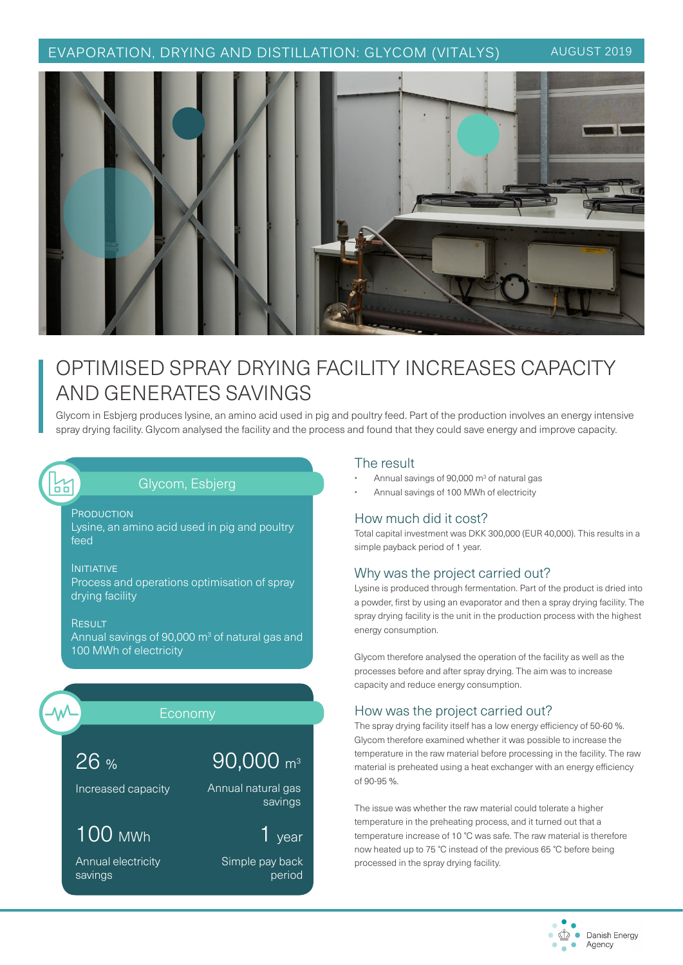## EVAPORATION, DRYING AND DISTILLATION: GLYCOM (VITALYS) AUGUST 2019



# OPTIMISED SPRAY DRYING FACILITY INCREASES CAPACITY AND GENERATES SAVINGS

Glycom in Esbjerg produces lysine, an amino acid used in pig and poultry feed. Part of the production involves an energy intensive spray drying facility. Glycom analysed the facility and the process and found that they could save energy and improve capacity.

## Glycom, Esbjerg

**PRODUCTION** Lysine, an amino acid used in pig and poultry feed

#### INITIATIVE

N<br>00

Process and operations optimisation of spray drying facility

**RESULT** Annual savings of 90,000  $\text{m}^3$  of natural gas and 100 MWh of electricity



## Economy

26 %

# 90,000 m3

Annual natural gas

Increased capacity

# 100 MWh

Annual electricity savings

1 year

savings

Simple pay back period

### The result

- Annual savings of 90,000 m<sup>3</sup> of natural gas
- Annual savings of 100 MWh of electricity

### How much did it cost?

Total capital investment was DKK 300,000 (EUR 40,000). This results in a simple payback period of 1 year.

### Why was the project carried out?

Lysine is produced through fermentation. Part of the product is dried into a powder, first by using an evaporator and then a spray drying facility. The spray drying facility is the unit in the production process with the highest energy consumption.

Glycom therefore analysed the operation of the facility as well as the processes before and after spray drying. The aim was to increase capacity and reduce energy consumption.

## How was the project carried out?

The spray drying facility itself has a low energy efficiency of 50-60 %. Glycom therefore examined whether it was possible to increase the temperature in the raw material before processing in the facility. The raw material is preheated using a heat exchanger with an energy efficiency of 90-95 %.

The issue was whether the raw material could tolerate a higher temperature in the preheating process, and it turned out that a temperature increase of 10 °C was safe. The raw material is therefore now heated up to 75 °C instead of the previous 65 °C before being processed in the spray drying facility.